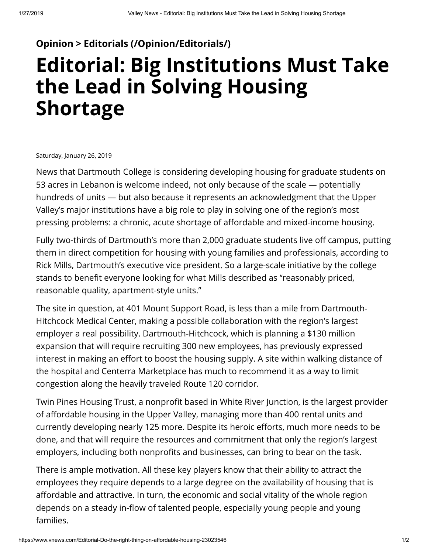## **[Opinion > Editorials \(/Opinion/Editorials/\)](https://www.vnews.com/Opinion/Editorials/)**

## **Editorial: Big Institutions Must Take the Lead in Solving Housing Shortage**

Saturday, January 26, 2019

News that Dartmouth College is considering developing housing for graduate students on 53 acres in Lebanon is welcome indeed, not only because of the scale — potentially hundreds of units — but also because it represents an acknowledgment that the Upper Valley's major institutions have a big role to play in solving one of the region's most pressing problems: a chronic, acute shortage of affordable and mixed-income housing.

Fully two-thirds of Dartmouth's more than 2,000 graduate students live off campus, putting them in direct competition for housing with young families and professionals, according to Rick Mills, Dartmouth's executive vice president. So a large-scale initiative by the college stands to benefit everyone looking for what Mills described as "reasonably priced, reasonable quality, apartment-style units."

The site in question, at 401 Mount Support Road, is less than a mile from Dartmouth-Hitchcock Medical Center, making a possible collaboration with the region's largest employer a real possibility. Dartmouth-Hitchcock, which is planning a \$130 million expansion that will require recruiting 300 new employees, has previously expressed interest in making an effort to boost the housing supply. A site within walking distance of the hospital and Centerra Marketplace has much to recommend it as a way to limit congestion along the heavily traveled Route 120 corridor.

Twin Pines Housing Trust, a nonprofit based in White River Junction, is the largest provider of affordable housing in the Upper Valley, managing more than 400 rental units and currently developing nearly 125 more. Despite its heroic efforts, much more needs to be done, and that will require the resources and commitment that only the region's largest employers, including both nonprofits and businesses, can bring to bear on the task.

There is ample motivation. All these key players know that their ability to attract the employees they require depends to a large degree on the availability of housing that is affordable and attractive. In turn, the economic and social vitality of the whole region depends on a steady in-flow of talented people, especially young people and young families.